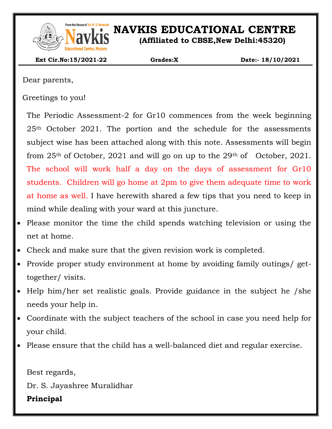

# From the House of Sri. M. S. Ramaidah<br>**NAVISION NAVISE EDUCATIONAL CENTRE**

**(Affiliated to CBSE,New Delhi:45320)**

 **Ext Cir.No:15/2021-22 Grades:X Date:- 18/10/2021**

Dear parents,

Greetings to you!

The Periodic Assessment-2 for Gr10 commences from the week beginning 25th October 2021. The portion and the schedule for the assessments subject wise has been attached along with this note. Assessments will begin from  $25<sup>th</sup>$  of October, 2021 and will go on up to the  $29<sup>th</sup>$  of October, 2021. The school will work half a day on the days of assessment for Gr10 students. Children will go home at 2pm to give them adequate time to work at home as well. I have herewith shared a few tips that you need to keep in mind while dealing with your ward at this juncture.

- Please monitor the time the child spends watching television or using the net at home.
- Check and make sure that the given revision work is completed.
- Provide proper study environment at home by avoiding family outings/ gettogether/ visits.
- Help him/her set realistic goals. Provide guidance in the subject he /she needs your help in.
- Coordinate with the subject teachers of the school in case you need help for your child.
- Please ensure that the child has a well-balanced diet and regular exercise.

Best regards,

Dr. S. Jayashree Muralidhar

### **Principal**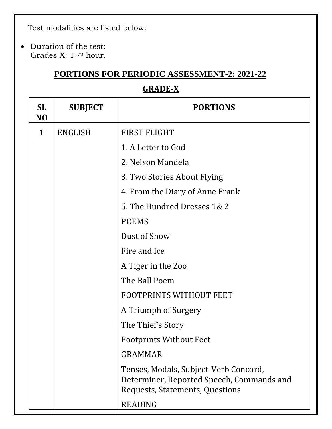Test modalities are listed below:

 Duration of the test: Grades X:  $1^{1/2}$  hour.

## **PORTIONS FOR PERIODIC ASSESSMENT-2: 2021-22**

# **GRADE-X**

| <b>SL</b><br>N <sub>O</sub> | <b>SUBJECT</b> | <b>PORTIONS</b>                                                                                                       |  |
|-----------------------------|----------------|-----------------------------------------------------------------------------------------------------------------------|--|
| $\mathbf{1}$                | <b>ENGLISH</b> | FIRST FLIGHT                                                                                                          |  |
|                             |                | 1. A Letter to God                                                                                                    |  |
|                             |                | 2. Nelson Mandela                                                                                                     |  |
|                             |                | 3. Two Stories About Flying                                                                                           |  |
|                             |                | 4. From the Diary of Anne Frank                                                                                       |  |
|                             |                | 5. The Hundred Dresses 1& 2                                                                                           |  |
|                             |                | <b>POEMS</b>                                                                                                          |  |
|                             |                | Dust of Snow                                                                                                          |  |
|                             |                | Fire and Ice                                                                                                          |  |
|                             |                | A Tiger in the Zoo                                                                                                    |  |
|                             |                | The Ball Poem                                                                                                         |  |
|                             |                | <b>FOOTPRINTS WITHOUT FEET</b>                                                                                        |  |
|                             |                | A Triumph of Surgery                                                                                                  |  |
|                             |                | The Thief's Story                                                                                                     |  |
|                             |                | <b>Footprints Without Feet</b>                                                                                        |  |
|                             |                | <b>GRAMMAR</b>                                                                                                        |  |
|                             |                | Tenses, Modals, Subject-Verb Concord,<br>Determiner, Reported Speech, Commands and<br>Requests, Statements, Questions |  |
|                             |                | <b>READING</b>                                                                                                        |  |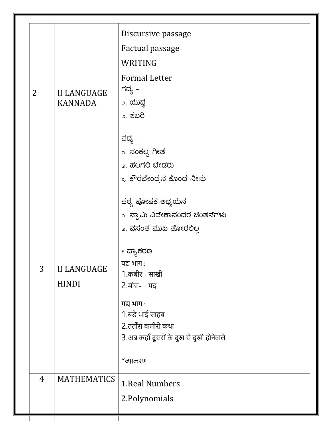|  |                                      |                                    | Discursive passage                        |
|--|--------------------------------------|------------------------------------|-------------------------------------------|
|  |                                      |                                    | Factual passage                           |
|  |                                      |                                    | WRITING                                   |
|  |                                      |                                    | <b>Formal Letter</b>                      |
|  | $\overline{2}$<br><b>II LANGUAGE</b> |                                    | ಗದ್ಯ –                                    |
|  |                                      | <b>KANNADA</b>                     | <sub>೧.</sub> ಯುದ್ದ                       |
|  |                                      |                                    | ೨. ಶಬರಿ                                   |
|  |                                      |                                    | ಪದ್ಯ–                                     |
|  |                                      |                                    | <sub>೧.</sub> ಸಂಕಲ್ಸ ಗೀತೆ                 |
|  |                                      |                                    | ೨. ಹಲಗಲಿ ಬೇಡರು                            |
|  |                                      |                                    | ೩. ಕೌರವೇಂದ್ರನ ಕೊಂದೆ ನೀನು                  |
|  |                                      |                                    | ಪಠ್ಯ ಪೋಷಕ ಅಧ್ಯಯನ                          |
|  |                                      |                                    | <sub>ಂ.</sub> ಸ್ವಾಮಿ ವಿವೇಕಾನಂದರ ಚಿಂತನೆಗಳು |
|  |                                      |                                    | ೨. ವಸಂತ ಮುಖ ತೋರಲಿಲ್ಲ                      |
|  |                                      |                                    | * ವ್ಯಾಕರಣ                                 |
|  | 3                                    | <b>II LANGUAGE</b><br><b>HINDI</b> | पद्य भाग:                                 |
|  |                                      |                                    | 1.कबीर - साखी                             |
|  |                                      |                                    | 2.मीरा- पद                                |
|  |                                      |                                    | गद्य भाग:                                 |
|  |                                      |                                    | 1.बडे भाई साहब                            |
|  |                                      |                                    | 2.तताँरा वामीरो कथा                       |
|  |                                      |                                    | 3.अब कहाँ दूसरों के दुख से दुखी होनेवाले  |
|  |                                      |                                    | *व्याकरण                                  |
|  | $\overline{4}$                       | <b>MATHEMATICS</b>                 | 1. Real Numbers                           |
|  |                                      |                                    | 2. Polynomials                            |
|  |                                      |                                    |                                           |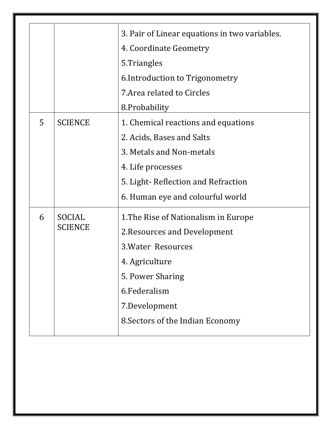|   |                | 3. Pair of Linear equations in two variables. |  |
|---|----------------|-----------------------------------------------|--|
|   |                | 4. Coordinate Geometry                        |  |
|   |                | 5. Triangles                                  |  |
|   |                | 6. Introduction to Trigonometry               |  |
|   |                | 7. Area related to Circles                    |  |
|   |                | 8. Probability                                |  |
| 5 | <b>SCIENCE</b> | 1. Chemical reactions and equations           |  |
|   |                | 2. Acids, Bases and Salts                     |  |
|   |                | 3. Metals and Non-metals                      |  |
|   |                | 4. Life processes                             |  |
|   |                | 5. Light-Reflection and Refraction            |  |
|   |                | 6. Human eye and colourful world              |  |
| 6 | <b>SOCIAL</b>  | 1. The Rise of Nationalism in Europe          |  |
|   | <b>SCIENCE</b> | 2. Resources and Development                  |  |
|   |                | <b>3. Water Resources</b>                     |  |
|   |                | 4. Agriculture                                |  |
|   |                | 5. Power Sharing                              |  |
|   |                | 6.Federalism                                  |  |
|   |                | 7.Development                                 |  |
|   |                | 8. Sectors of the Indian Economy              |  |
|   |                |                                               |  |